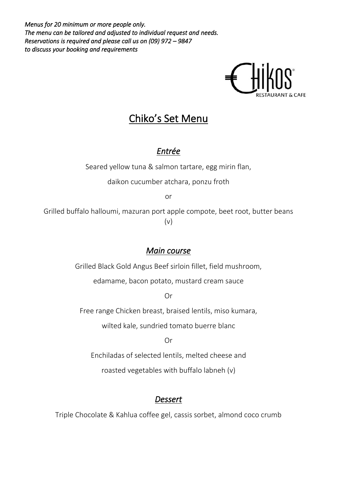*Menus for 20 minimum or more people only. The menu can be tailored and adjusted to individual request and needs. Reservations is required and please call us on (09) 972 – 9847 to discuss your booking and requirements*



# Chiko's Set Menu

## *Entrée*

Seared yellow tuna & salmon tartare, egg mirin flan,

daikon cucumber atchara, ponzu froth

or

Grilled buffalo halloumi, mazuran port apple compote, beet root, butter beans (v)

## *Main course*

Grilled Black Gold Angus Beef sirloin fillet, field mushroom,

edamame, bacon potato, mustard cream sauce

Or

Free range Chicken breast, braised lentils, miso kumara,

wilted kale, sundried tomato buerre blanc

Or

Enchiladas of selected lentils, melted cheese and

roasted vegetables with buffalo labneh (v)

## *Dessert*

Triple Chocolate & Kahlua coffee gel, cassis sorbet, almond coco crumb